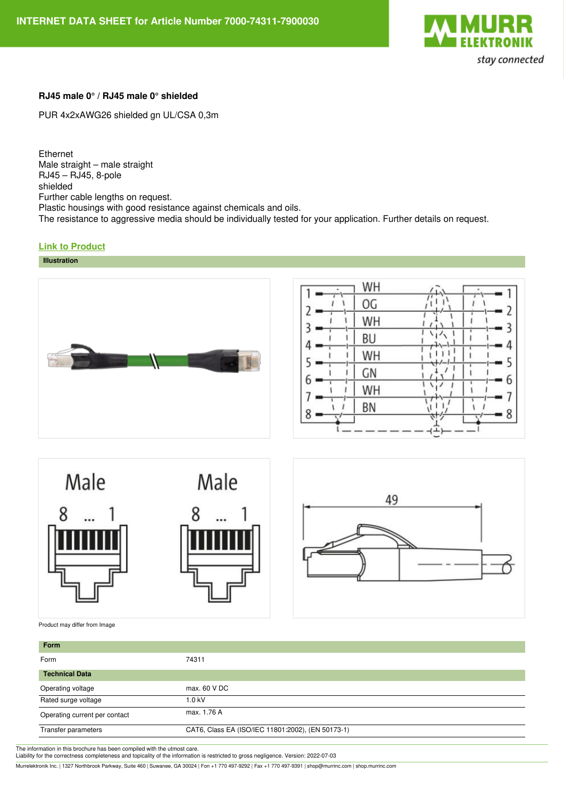

## **RJ45 male 0° / RJ45 male 0° shielded**

PUR 4x2xAWG26 shielded gn UL/CSA 0,3m

Ethernet Male straight – male straight RJ45 – RJ45, 8-pole shielded Further cable lengths on request. Plastic housings with good resistance against chemicals and oils. The resistance to aggressive media should be individually tested for your application. Further details on request.

## **Link to [Product](https://shop.murrinc.com/7000-74311-7900030)**





| WH |  |
|----|--|
| OG |  |
| WH |  |
| BU |  |
| WH |  |
| GN |  |
| WH |  |
| BN |  |
|    |  |





Product may differ from Image

| Form                          |                                                   |  |
|-------------------------------|---------------------------------------------------|--|
| Form                          | 74311                                             |  |
| <b>Technical Data</b>         |                                                   |  |
| Operating voltage             | max, 60 V DC                                      |  |
| Rated surge voltage           | 1.0 kV                                            |  |
| Operating current per contact | max. 1.76 A                                       |  |
| Transfer parameters           | CAT6, Class EA (ISO/IEC 11801:2002), (EN 50173-1) |  |

The information in this brochure has been compiled with the utmost care. Liability for the correctness completeness and topicality of the information is restricted to gross negligence. Version: 2022-07-03

Murrelektronik Inc. | 1327 Northbrook Parkway, Suite 460 | Suwanee, GA 30024 | Fon +1 770 497-9292 | Fax +1 770 497-9391 | shop@murrinc.com | shop.murrinc.com